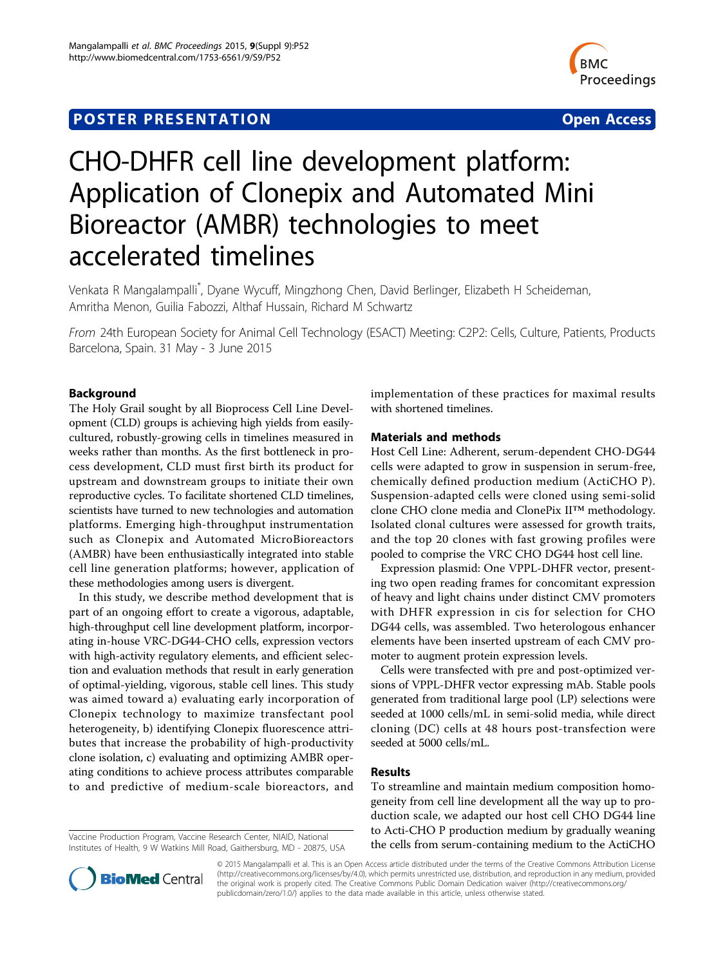# **POSTER PRESENTATION CONSUMING THE SERVICE SERVICE SERVICES**



# CHO-DHFR cell line development platform: Application of Clonepix and Automated Mini Bioreactor (AMBR) technologies to meet accelerated timelines

Venkata R Mangalampalli\* , Dyane Wycuff, Mingzhong Chen, David Berlinger, Elizabeth H Scheideman, Amritha Menon, Guilia Fabozzi, Althaf Hussain, Richard M Schwartz

From 24th European Society for Animal Cell Technology (ESACT) Meeting: C2P2: Cells, Culture, Patients, Products Barcelona, Spain. 31 May - 3 June 2015

## Background

The Holy Grail sought by all Bioprocess Cell Line Development (CLD) groups is achieving high yields from easilycultured, robustly-growing cells in timelines measured in weeks rather than months. As the first bottleneck in process development, CLD must first birth its product for upstream and downstream groups to initiate their own reproductive cycles. To facilitate shortened CLD timelines, scientists have turned to new technologies and automation platforms. Emerging high-throughput instrumentation such as Clonepix and Automated MicroBioreactors (AMBR) have been enthusiastically integrated into stable cell line generation platforms; however, application of these methodologies among users is divergent.

In this study, we describe method development that is part of an ongoing effort to create a vigorous, adaptable, high-throughput cell line development platform, incorporating in-house VRC-DG44-CHO cells, expression vectors with high-activity regulatory elements, and efficient selection and evaluation methods that result in early generation of optimal-yielding, vigorous, stable cell lines. This study was aimed toward a) evaluating early incorporation of Clonepix technology to maximize transfectant pool heterogeneity, b) identifying Clonepix fluorescence attributes that increase the probability of high-productivity clone isolation, c) evaluating and optimizing AMBR operating conditions to achieve process attributes comparable to and predictive of medium-scale bioreactors, and

Institutes of Health, 9 W Watkins Mill Road, Gaithersburg, MD - 20875, USA

implementation of these practices for maximal results with shortened timelines.

#### Materials and methods

Host Cell Line: Adherent, serum-dependent CHO-DG44 cells were adapted to grow in suspension in serum-free, chemically defined production medium (ActiCHO P). Suspension-adapted cells were cloned using semi-solid clone CHO clone media and ClonePix II™ methodology. Isolated clonal cultures were assessed for growth traits, and the top 20 clones with fast growing profiles were pooled to comprise the VRC CHO DG44 host cell line.

Expression plasmid: One VPPL-DHFR vector, presenting two open reading frames for concomitant expression of heavy and light chains under distinct CMV promoters with DHFR expression in cis for selection for CHO DG44 cells, was assembled. Two heterologous enhancer elements have been inserted upstream of each CMV promoter to augment protein expression levels.

Cells were transfected with pre and post-optimized versions of VPPL-DHFR vector expressing mAb. Stable pools generated from traditional large pool (LP) selections were seeded at 1000 cells/mL in semi-solid media, while direct cloning (DC) cells at 48 hours post-transfection were seeded at 5000 cells/mL.

### Results

To streamline and maintain medium composition homogeneity from cell line development all the way up to production scale, we adapted our host cell CHO DG44 line to Acti-CHO P production medium by gradually weaning Vaccine Production Program, Vaccine Research Center, NIAID, National<br>Institutes of Health 9 W Watkins Mill Road Gaithersburg MD - 20875 USA **the cells from serum-containing medium to the ActiCHO** 



© 2015 Mangalampalli et al. This is an Open Access article distributed under the terms of the Creative Commons Attribution License [\(http://creativecommons.org/licenses/by/4.0](http://creativecommons.org/licenses/by/4.0)), which permits unrestricted use, distribution, and reproduction in any medium, provided the original work is properly cited. The Creative Commons Public Domain Dedication waiver ([http://creativecommons.org/](http://creativecommons.org/publicdomain/zero/1.0/) [publicdomain/zero/1.0/](http://creativecommons.org/publicdomain/zero/1.0/)) applies to the data made available in this article, unless otherwise stated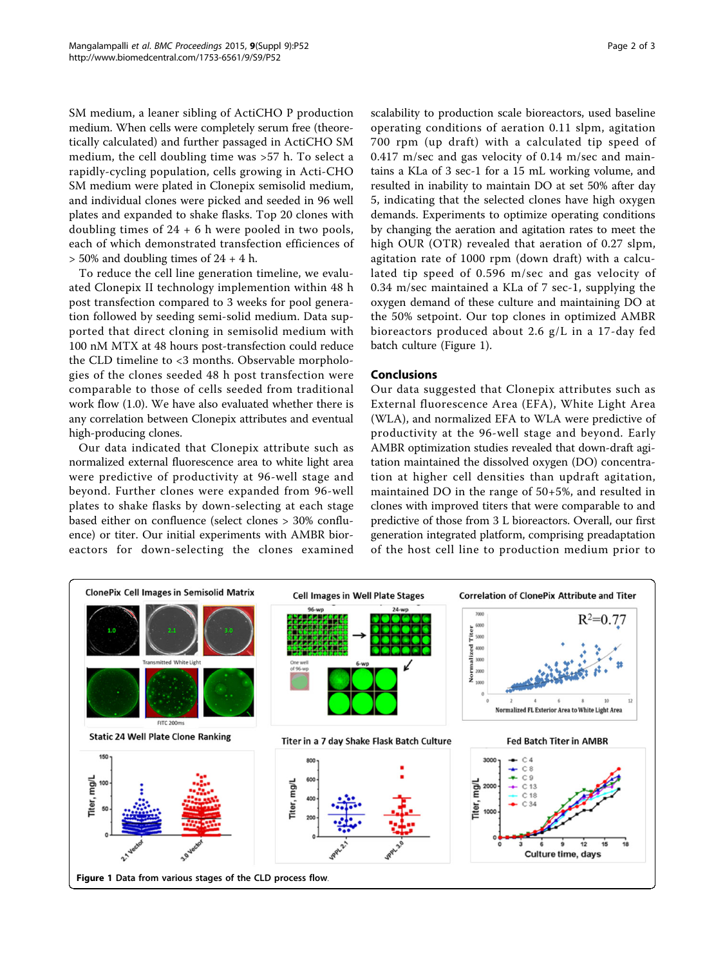SM medium, a leaner sibling of ActiCHO P production medium. When cells were completely serum free (theoretically calculated) and further passaged in ActiCHO SM medium, the cell doubling time was >57 h. To select a rapidly-cycling population, cells growing in Acti-CHO SM medium were plated in Clonepix semisolid medium, and individual clones were picked and seeded in 96 well plates and expanded to shake flasks. Top 20 clones with doubling times of  $24 + 6$  h were pooled in two pools, each of which demonstrated transfection efficiences of  $> 50\%$  and doubling times of 24 + 4 h.

To reduce the cell line generation timeline, we evaluated Clonepix II technology implemention within 48 h post transfection compared to 3 weeks for pool generation followed by seeding semi-solid medium. Data supported that direct cloning in semisolid medium with 100 nM MTX at 48 hours post-transfection could reduce the CLD timeline to <3 months. Observable morphologies of the clones seeded 48 h post transfection were comparable to those of cells seeded from traditional work flow (1.0). We have also evaluated whether there is any correlation between Clonepix attributes and eventual high-producing clones.

Our data indicated that Clonepix attribute such as normalized external fluorescence area to white light area were predictive of productivity at 96-well stage and beyond. Further clones were expanded from 96-well plates to shake flasks by down-selecting at each stage based either on confluence (select clones > 30% confluence) or titer. Our initial experiments with AMBR bioreactors for down-selecting the clones examined scalability to production scale bioreactors, used baseline operating conditions of aeration 0.11 slpm, agitation 700 rpm (up draft) with a calculated tip speed of 0.417 m/sec and gas velocity of 0.14 m/sec and maintains a KLa of 3 sec-1 for a 15 mL working volume, and resulted in inability to maintain DO at set 50% after day 5, indicating that the selected clones have high oxygen demands. Experiments to optimize operating conditions by changing the aeration and agitation rates to meet the high OUR (OTR) revealed that aeration of 0.27 slpm, agitation rate of 1000 rpm (down draft) with a calculated tip speed of 0.596 m/sec and gas velocity of 0.34 m/sec maintained a KLa of 7 sec-1, supplying the oxygen demand of these culture and maintaining DO at the 50% setpoint. Our top clones in optimized AMBR bioreactors produced about 2.6 g/L in a 17-day fed batch culture (Figure 1).

#### Conclusions

Our data suggested that Clonepix attributes such as External fluorescence Area (EFA), White Light Area (WLA), and normalized EFA to WLA were predictive of productivity at the 96-well stage and beyond. Early AMBR optimization studies revealed that down-draft agitation maintained the dissolved oxygen (DO) concentration at higher cell densities than updraft agitation, maintained DO in the range of 50+5%, and resulted in clones with improved titers that were comparable to and predictive of those from 3 L bioreactors. Overall, our first generation integrated platform, comprising preadaptation of the host cell line to production medium prior to